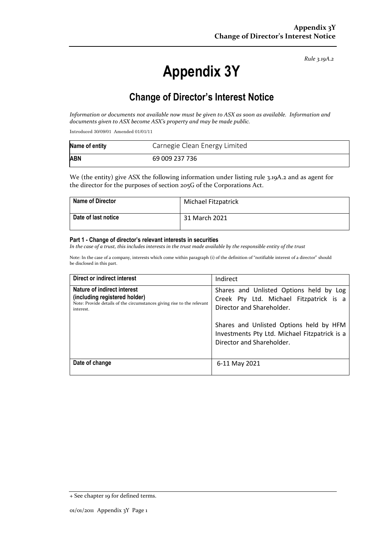*Rule 3.19A.2*

# **Appendix 3Y**

# **Change of Director's Interest Notice**

*Information or documents not available now must be given to ASX as soon as available. Information and documents given to ASX become ASX's property and may be made public.*

Introduced 30/09/01 Amended 01/01/11

| Name of entity | Carnegie Clean Energy Limited |
|----------------|-------------------------------|
| <b>ABN</b>     | 69 009 237 736                |

We (the entity) give ASX the following information under listing rule 3.19A.2 and as agent for the director for the purposes of section 205G of the Corporations Act.

| Name of Director    | Michael Fitzpatrick |
|---------------------|---------------------|
| Date of last notice | 31 March 2021       |

#### **Part 1 - Change of director's relevant interests in securities**

*In the case of a trust, this includes interests in the trust made available by the responsible entity of the trust*

Note: In the case of a company, interests which come within paragraph (i) of the definition of "notifiable interest of a director" should be disclosed in this part.

| Direct or indirect interest                                                                                                                         | Indirect                                                                                                                                                                                                                                 |
|-----------------------------------------------------------------------------------------------------------------------------------------------------|------------------------------------------------------------------------------------------------------------------------------------------------------------------------------------------------------------------------------------------|
| Nature of indirect interest<br>(including registered holder)<br>Note: Provide details of the circumstances giving rise to the relevant<br>interest. | Shares and Unlisted Options held by Log<br>Creek Pty Ltd. Michael Fitzpatrick is a<br>Director and Shareholder.<br>Shares and Unlisted Options held by HFM<br>Investments Pty Ltd. Michael Fitzpatrick is a<br>Director and Shareholder. |
| Date of change                                                                                                                                      | 6-11 May 2021                                                                                                                                                                                                                            |

<sup>+</sup> See chapter 19 for defined terms.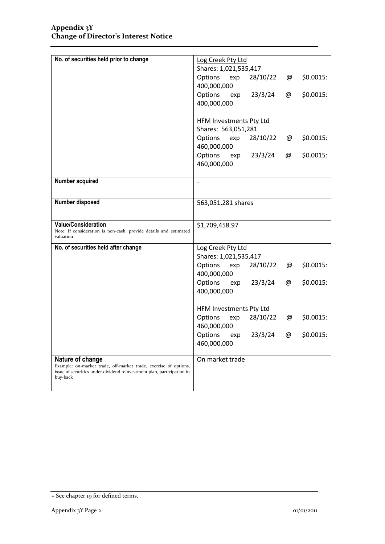| No. of securities held prior to change                                                                       | Log Creek Pty Ltd                                           |  |  |
|--------------------------------------------------------------------------------------------------------------|-------------------------------------------------------------|--|--|
|                                                                                                              | Shares: 1,021,535,417                                       |  |  |
|                                                                                                              | 28/10/22<br>\$0.0015:<br>Options<br>exp<br>@                |  |  |
|                                                                                                              | 400,000,000<br>23/3/24<br>\$0.0015:<br>Options<br>@<br>exp  |  |  |
|                                                                                                              | 400,000,000                                                 |  |  |
|                                                                                                              |                                                             |  |  |
|                                                                                                              | <b>HFM Investments Pty Ltd</b>                              |  |  |
|                                                                                                              | Shares: 563,051,281                                         |  |  |
|                                                                                                              | Options<br>28/10/22<br>\$0.0015:<br>exp<br>@<br>460,000,000 |  |  |
|                                                                                                              | 23/3/24<br>\$0.0015:<br>Options<br>@<br>exp                 |  |  |
|                                                                                                              | 460,000,000                                                 |  |  |
| Number acquired                                                                                              | $\overline{a}$                                              |  |  |
|                                                                                                              |                                                             |  |  |
| Number disposed                                                                                              | 563,051,281 shares                                          |  |  |
|                                                                                                              |                                                             |  |  |
| <b>Value/Consideration</b><br>Note: If consideration is non-cash, provide details and estimated<br>valuation | \$1,709,458.97                                              |  |  |
| No. of securities held after change                                                                          | Log Creek Pty Ltd                                           |  |  |
|                                                                                                              | Shares: 1,021,535,417                                       |  |  |
|                                                                                                              | Options<br>exp<br>28/10/22<br>\$0.0015:<br>@                |  |  |
|                                                                                                              | 400,000,000                                                 |  |  |
|                                                                                                              | \$0.0015:<br>Options<br>23/3/24<br>@<br>exp<br>400,000,000  |  |  |
|                                                                                                              |                                                             |  |  |
|                                                                                                              | HFM Investments Pty Ltd                                     |  |  |
|                                                                                                              | 28/10/22<br>\$0.0015:<br>Options<br>@<br>exp                |  |  |
|                                                                                                              | 460,000,000                                                 |  |  |
|                                                                                                              | Options<br>23/3/24<br>\$0.0015:<br>@<br>exp<br>460,000,000  |  |  |
|                                                                                                              |                                                             |  |  |
| Nature of change<br>Example: on-market trade, off-market trade, exercise of options,                         | On market trade                                             |  |  |
| issue of securities under dividend reinvestment plan, participation in<br>buy-back                           |                                                             |  |  |
|                                                                                                              |                                                             |  |  |

<sup>+</sup> See chapter 19 for defined terms.